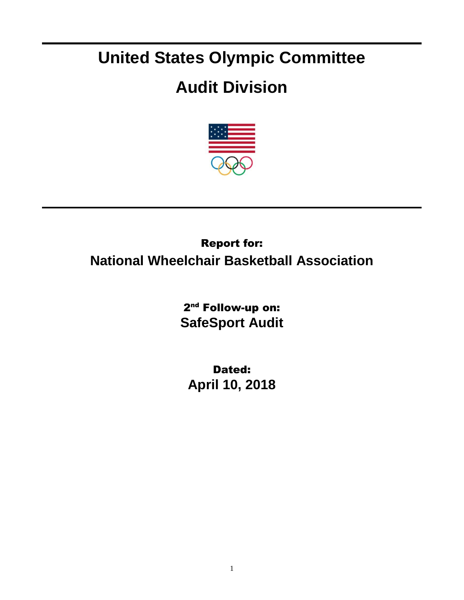## **United States Olympic Committee**

## **Audit Division**



## Report for: **National Wheelchair Basketball Association**

2<sup>nd</sup> Follow-up on: **SafeSport Audit**

Dated: **April 10, 2018**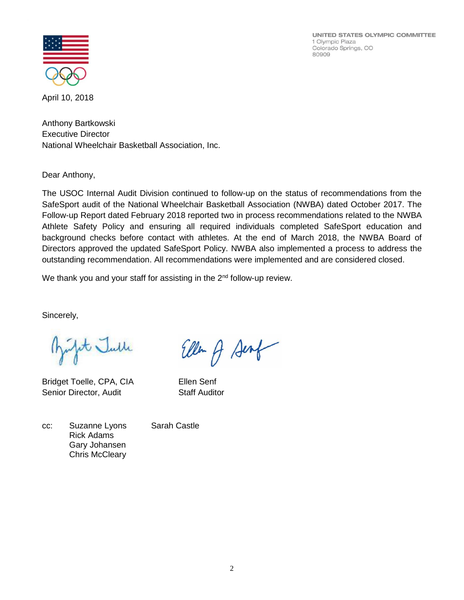UNITED STATES OLYMPIC COMMITTEE 1 Olympic Plaza Colorado Springs, CO 80909



April 10, 2018

Anthony Bartkowski Executive Director National Wheelchair Basketball Association, Inc.

Dear Anthony,

The USOC Internal Audit Division continued to follow-up on the status of recommendations from the SafeSport audit of the National Wheelchair Basketball Association (NWBA) dated October 2017. The Follow-up Report dated February 2018 reported two in process recommendations related to the NWBA Athlete Safety Policy and ensuring all required individuals completed SafeSport education and background checks before contact with athletes. At the end of March 2018, the NWBA Board of Directors approved the updated SafeSport Policy. NWBA also implemented a process to address the outstanding recommendation. All recommendations were implemented and are considered closed.

We thank you and your staff for assisting in the  $2<sup>nd</sup>$  follow-up review.

Sincerely,

Jet Julle

Bridget Toelle, CPA, CIA Ellen Senf Senior Director, Audit Staff Auditor

Ellen of Senf

cc: Suzanne Lyons Sarah Castle Rick Adams Gary Johansen Chris McCleary